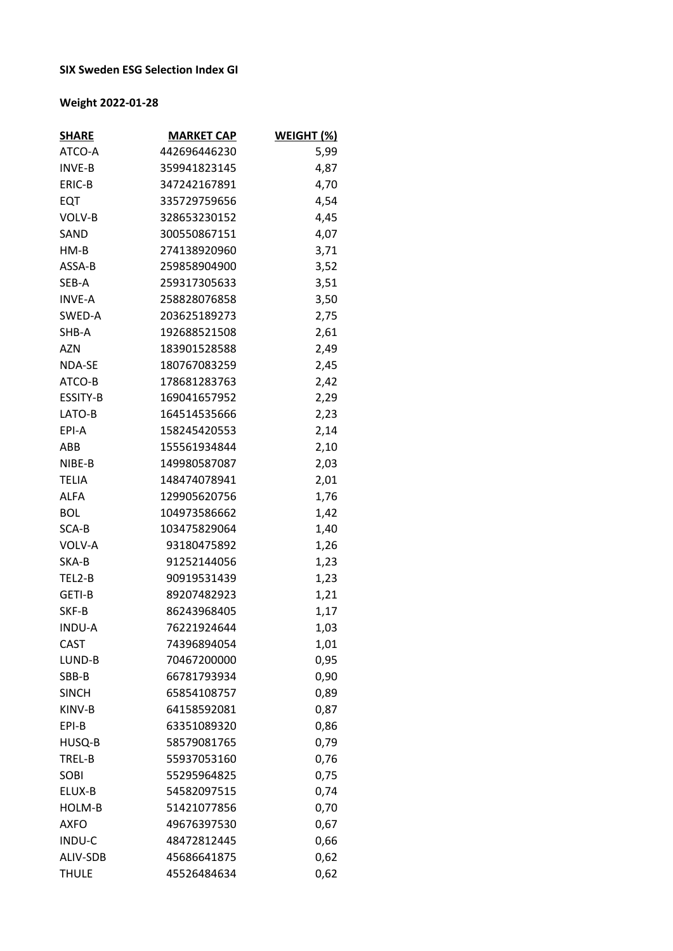## **SIX Sweden ESG Selection Index GI**

## **Weight 2022-01-28**

| <b>SHARE</b>  | <b>MARKET CAP</b> | WEIGHT (%) |
|---------------|-------------------|------------|
| ATCO-A        | 442696446230      | 5,99       |
| <b>INVE-B</b> | 359941823145      | 4,87       |
| ERIC-B        | 347242167891      | 4,70       |
| EQT           | 335729759656      | 4,54       |
| VOLV-B        | 328653230152      | 4,45       |
| SAND          | 300550867151      | 4,07       |
| HM-B          | 274138920960      | 3,71       |
| ASSA-B        | 259858904900      | 3,52       |
| SEB-A         | 259317305633      | 3,51       |
| <b>INVE-A</b> | 258828076858      | 3,50       |
| SWED-A        | 203625189273      | 2,75       |
| SHB-A         | 192688521508      | 2,61       |
| <b>AZN</b>    | 183901528588      | 2,49       |
| <b>NDA-SE</b> | 180767083259      | 2,45       |
| ATCO-B        | 178681283763      | 2,42       |
| ESSITY-B      | 169041657952      | 2,29       |
| LATO-B        | 164514535666      | 2,23       |
| EPI-A         | 158245420553      | 2,14       |
| ABB           | 155561934844      | 2,10       |
| NIBE-B        | 149980587087      | 2,03       |
| <b>TELIA</b>  | 148474078941      | 2,01       |
| <b>ALFA</b>   | 129905620756      | 1,76       |
| <b>BOL</b>    | 104973586662      | 1,42       |
| SCA-B         | 103475829064      | 1,40       |
| VOLV-A        | 93180475892       | 1,26       |
| SKA-B         | 91252144056       | 1,23       |
| TEL2-B        | 90919531439       | 1,23       |
| GETI-B        | 89207482923       | 1,21       |
| SKF-B         | 86243968405       | 1,17       |
| <b>INDU-A</b> | 76221924644       | 1,03       |
| <b>CAST</b>   | 74396894054       | 1,01       |
| LUND-B        | 70467200000       | 0,95       |
| SBB-B         | 66781793934       | 0,90       |
| <b>SINCH</b>  | 65854108757       | 0,89       |
| KINV-B        | 64158592081       | 0,87       |
| EPI-B         | 63351089320       | 0,86       |
| HUSQ-B        | 58579081765       | 0,79       |
| TREL-B        | 55937053160       | 0,76       |
| SOBI          | 55295964825       | 0,75       |
| ELUX-B        | 54582097515       | 0,74       |
| HOLM-B        | 51421077856       | 0,70       |
| <b>AXFO</b>   | 49676397530       | 0,67       |
| INDU-C        | 48472812445       | 0,66       |
| ALIV-SDB      | 45686641875       | 0,62       |
| <b>THULE</b>  | 45526484634       | 0,62       |